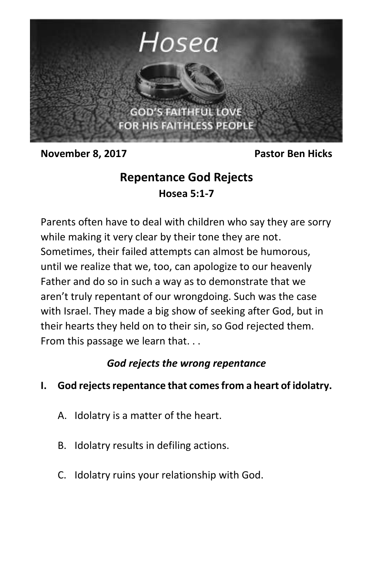

**November 8, 2017** Pastor Ben Hicks

# **Repentance God Rejects Hosea 5:1-7**

Parents often have to deal with children who say they are sorry while making it very clear by their tone they are not. Sometimes, their failed attempts can almost be humorous, until we realize that we, too, can apologize to our heavenly Father and do so in such a way as to demonstrate that we aren't truly repentant of our wrongdoing. Such was the case with Israel. They made a big show of seeking after God, but in their hearts they held on to their sin, so God rejected them. From this passage we learn that. . .

## *God rejects the wrong repentance*

- **I. God rejects repentance that comes from a heart of idolatry.**
	- A. Idolatry is a matter of the heart.
	- B. Idolatry results in defiling actions.
	- C. Idolatry ruins your relationship with God.